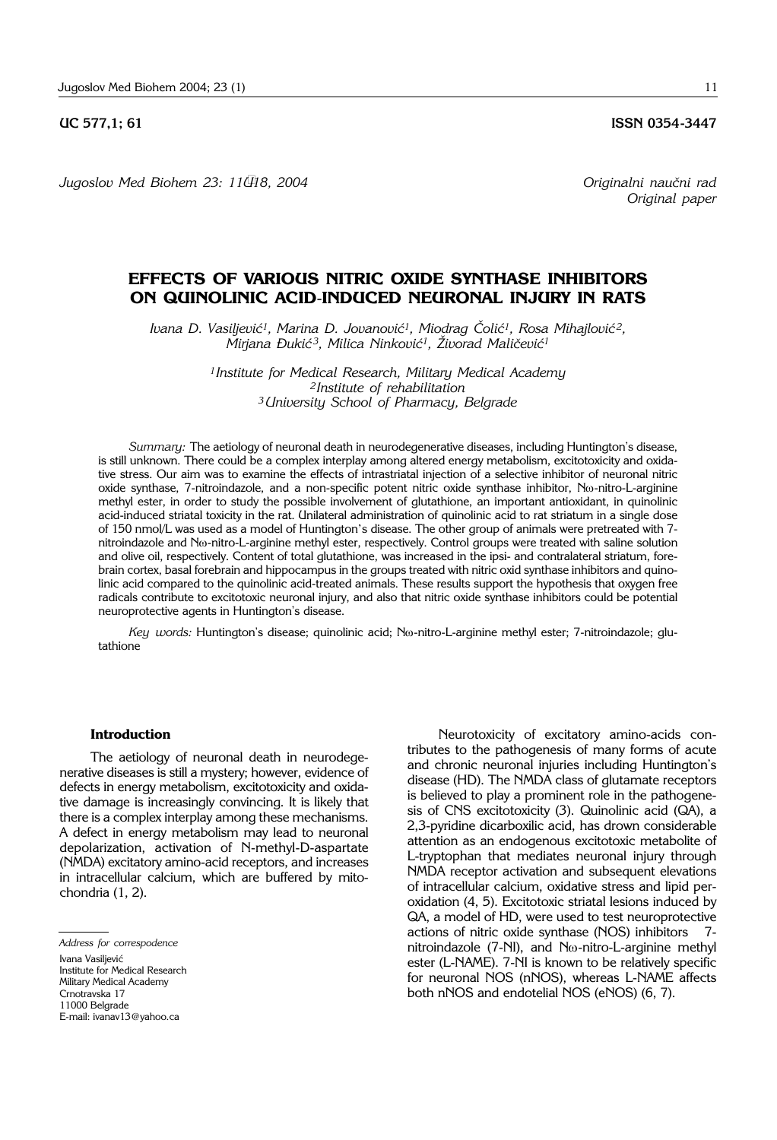**UC 577,1; 61 ISSN 0354-3447** 

*Jugoslov Med Biohem 23: 11–18, 2004 Originalni nau~ni rad*

*Original paper*

# **EFFECTS OF VARIOUS NITRIC OXIDE SYNTHASE INHIBITORS ON QUINOLINIC ACID**-**INDUCED NEURONAL INJURY IN RATS**

*Ivana D. Vasiljević<sup>1</sup>, Marina D. Jovanović<sup>1</sup>, Miodrag Čolić<sup>1</sup>, Rosa Mihajlović<sup>2</sup>,*  $\text{Miriana}$  *Dukić<sup>3</sup>, Milica Ninković<sup>1</sup>, Živorad Maličević<sup>1</sup>* 

> *1Institute for Medical Research, Military Medical Academy 2Institute of rehabilitation <sup>3</sup> University School of Pharmacy, Belgrade*

*Summary:* The aetiology of neuronal death in neurodegenerative diseases, including Huntington's disease, is still unknown. There could be a complex interplay among altered energy metabolism, excitotoxicity and oxidative stress. Our aim was to examine the effects of intrastriatal injection of a selective inhibitor of neuronal nitric oxide synthase, 7-nitroindazole, and a non-specific potent nitric oxide synthase inhibitor, No-nitro-L-arginine methyl ester, in order to study the possible involvement of glutathione, an important antioxidant, in quinolinic acid-induced striatal toxicity in the rat. Unilateral administration of quinolinic acid to rat striatum in a single dose of 150 nmol/L was used as a model of Huntington's disease. The other group of animals were pretreated with 7 nitroindazole and Nw-nitro-L-arginine methyl ester, respectively. Control groups were treated with saline solution and olive oil, respectively. Content of total glutathione, was increased in the ipsi- and contralateral striatum, forebrain cortex, basal forebrain and hippocampus in the groups treated with nitric oxid synthase inhibitors and quinolinic acid compared to the quinolinic acid-treated animals. These results support the hypothesis that oxygen free radicals contribute to excitotoxic neuronal injury, and also that nitric oxide synthase inhibitors could be potential neuroprotective agents in Huntington's disease.

Key words: Huntington's disease; quinolinic acid; N<sub>(2</sub>-nitro-L-arginine methyl ester; 7-nitroindazole; glutathione

# **Introduction**

The aetiology of neuronal death in neurodegenerative diseases is still a mystery; however, evidence of defects in energy metabolism, excitotoxicity and oxidative damage is increasingly convincing. It is likely that there is a complex interplay among these mechanisms. A defect in energy metabolism may lead to neuronal depolarization, activation of N-methyl-D-aspartate (NMDA) excitatory amino-acid receptors, and increases in intracellular calcium, which are buffered by mitochondria (1, 2).

*Address for correspodence* Ivana Vasiliević Institute for Medical Research Military Medical Academy Crnotravska 17 11000 Belgrade E-mail: ivanav13@yahoo.ca

Neurotoxicity of excitatory amino-acids contributes to the pathogenesis of many forms of acute and chronic neuronal injuries including Huntington's disease (HD). The NMDA class of glutamate receptors is believed to play a prominent role in the pathogenesis of CNS excitotoxicity (3). Quinolinic acid (QA), a 2,3-pyridine dicarboxilic acid, has drown considerable attention as an endogenous excitotoxic metabolite of L-tryptophan that mediates neuronal injury through NMDA receptor activation and subsequent elevations of intracellular calcium, oxidative stress and lipid peroxidation (4, 5). Excitotoxic striatal lesions induced by QA, a model of HD, were used to test neuroprotective actions of nitric oxide synthase (NOS) inhibitors 7nitroindazole (7-NI), and  $N\omega$ -nitro-L-arginine methyl ester (L-NAME). 7-NI is known to be relatively specific for neuronal NOS (nNOS), whereas L-NAME affects both nNOS and endotelial NOS (eNOS) (6, 7).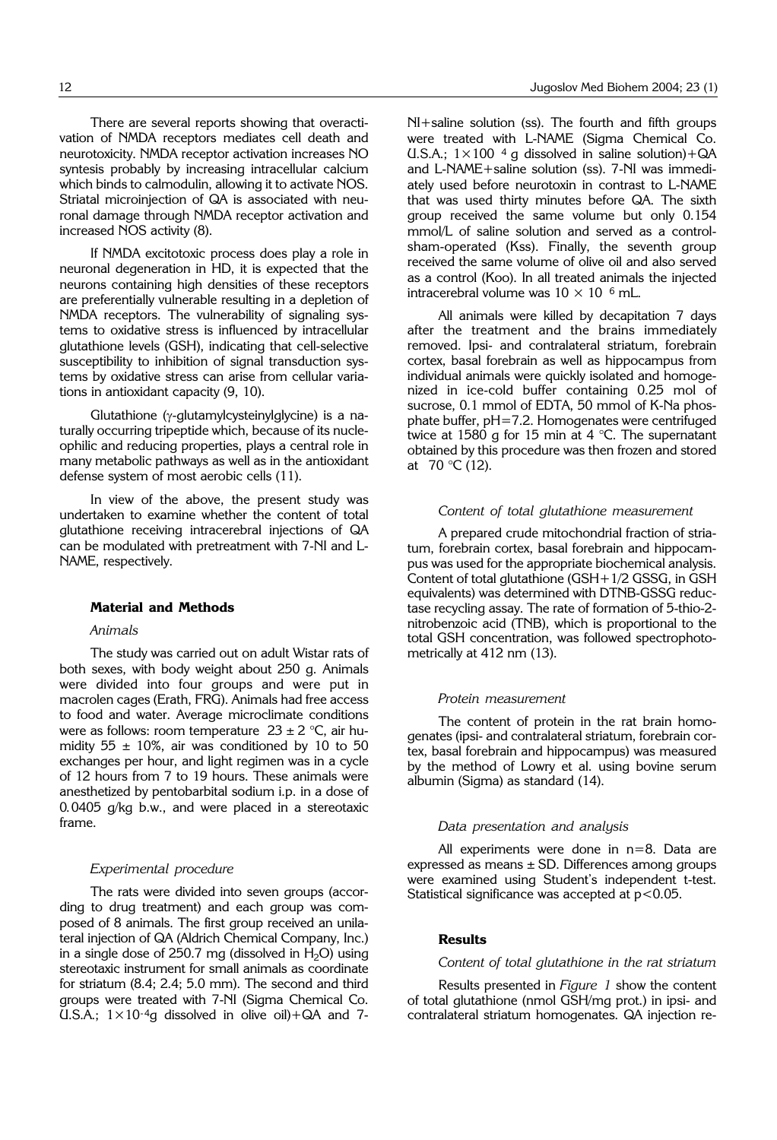If NMDA excitotoxic process does play a role in neuronal degeneration in HD, it is expected that the neurons containing high densities of these receptors are preferentially vulnerable resulting in a depletion of NMDA receptors. The vulnerability of signaling systems to oxidative stress is influenced by intracellular glutathione levels (GSH), indicating that cell-selective susceptibility to inhibition of signal transduction systems by oxidative stress can arise from cellular variations in antioxidant capacity (9, 10).

ronal damage through NMDA receptor activation and

increased NOS activity (8).

Glutathione ( $\gamma$ -glutamylcysteinylglycine) is a naturally occurring tripeptide which, because of its nucleophilic and reducing properties, plays a central role in many metabolic pathways as well as in the antioxidant defense system of most aerobic cells (11).

In view of the above, the present study was undertaken to examine whether the content of total glutathione receiving intracerebral injections of QA can be modulated with pretreatment with 7-NI and L-NAME, respectively.

#### **Material and Methods**

#### *Animals*

The study was carried out on adult Wistar rats of both sexes, with body weight about 250 g. Animals were divided into four groups and were put in macrolen cages (Erath, FRG). Animals had free access to food and water. Average microclimate conditions were as follows: room temperature  $23 \pm 2$  °C, air humidity 55  $\pm$  10%, air was conditioned by 10 to 50 exchanges per hour, and light regimen was in a cycle of 12 hours from 7 to 19 hours. These animals were anesthetized by pentobarbital sodium i.p. in a dose of 0.0405 g/kg b.w., and were placed in a stereotaxic frame.

#### *Experimental procedure*

The rats were divided into seven groups (according to drug treatment) and each group was composed of 8 animals. The first group received an unilateral injection of QA (Aldrich Chemical Company, Inc.) in a single dose of 250.7 mg (dissolved in  $H_2O$ ) using stereotaxic instrument for small animals as coordinate for striatum (8.4; 2.4; 5.0 mm). The second and third groups were treated with 7-NI (Sigma Chemical Co. U.S.A.;  $1 \times 10^{-4}$ g dissolved in olive oil) + QA and 7NI+saline solution (ss). The fourth and fifth groups were treated with L-NAME (Sigma Chemical Co. U.S.A.;  $1 \times 100$ <sup>4</sup> g dissolved in saline solution)+QA and L-NAME+saline solution (ss). 7-NI was immediately used before neurotoxin in contrast to L-NAME that was used thirty minutes before QA. The sixth group received the same volume but only 0.154 mmol/L of saline solution and served as a controlsham-operated (Kss). Finally, the seventh group received the same volume of olive oil and also served as a control (Koo). In all treated animals the injected intracerebral volume was  $10 \times 10^{-6}$  mL.

All animals were killed by decapitation 7 days after the treatment and the brains immediately removed. Ipsi- and contralateral striatum, forebrain cortex, basal forebrain as well as hippocampus from individual animals were quickly isolated and homogenized in ice-cold buffer containing 0.25 mol of sucrose, 0.1 mmol of EDTA, 50 mmol of K-Na phosphate buffer, pH=7.2. Homogenates were centrifuged twice at 1580 g for 15 min at 4  $\degree$ C. The supernatant obtained by this procedure was then frozen and stored at  $70 \text{ °C}$  (12).

#### *Content of total glutathione measurement*

A prepared crude mitochondrial fraction of striatum, forebrain cortex, basal forebrain and hippocampus was used for the appropriate biochemical analysis. Content of total glutathione (GSH+1/2 GSSG, in GSH equivalents) was determined with DTNB-GSSG reductase recycling assay. The rate of formation of 5-thio-2 nitrobenzoic acid (TNB), which is proportional to the total GSH concentration, was followed spectrophotometrically at 412 nm (13).

# *Protein measurement*

The content of protein in the rat brain homogenates (ipsi- and contralateral striatum, forebrain cortex, basal forebrain and hippocampus) was measured by the method of Lowry et al. using bovine serum albumin (Sigma) as standard (14).

## *Data presentation and analysis*

All experiments were done in n=8. Data are expressed as means  $\pm$  SD. Differences among groups were examined using Student's independent t-test. Statistical significance was accepted at  $p<0.05$ .

# **Results**

### *Content of total glutathione in the rat striatum*

Results presented in *Figure 1* show the content of total glutathione (nmol GSH/mg prot.) in ipsi- and contralateral striatum homogenates. QA injection re-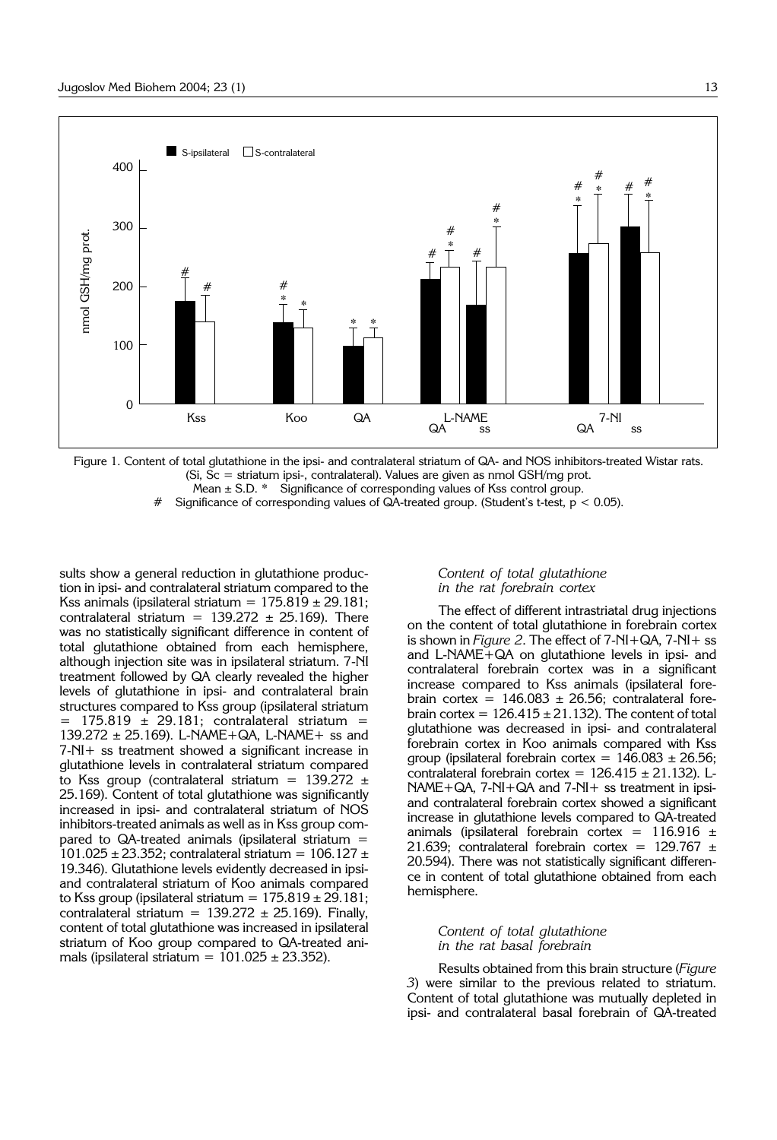

Figure 1. Content of total glutathione in the ipsi- and contralateral striatum of QA- and NOS inhibitors-treated Wistar rats. (Si, Sc = striatum ipsi-, contralateral). Values are given as nmol GSH/mg prot.

Mean  $\pm$  S.D.  $*$  Significance of corresponding values of Kss control group.

Significance of corresponding values of  $QA$ -treated group. (Student's t-test,  $p < 0.05$ ).

sults show a general reduction in glutathione production in ipsi- and contralateral striatum compared to the Kss animals (ipsilateral striatum =  $175.819 \pm 29.181$ ; contralateral striatum =  $139.272 \pm 25.169$ ). There was no statistically significant difference in content of total glutathione obtained from each hemisphere, although injection site was in ipsilateral striatum. 7-NI treatment followed by QA clearly revealed the higher levels of glutathione in ipsi- and contralateral brain structures compared to Kss group (ipsilateral striatum  $175.819 \pm 29.181$ ; contralateral striatum = 139.272 ± 25.169). L-NAME+QA, L-NAME+ ss and 7-NI+ ss treatment showed a significant increase in glutathione levels in contralateral striatum compared to Kss group (contralateral striatum =  $139.272 \pm$ 25.169). Content of total glutathione was significantly increased in ipsi- and contralateral striatum of NOS inhibitors-treated animals as well as in Kss group compared to QA-treated animals (ipsilateral striatum =  $101.025 \pm 23.352$ ; contralateral striatum =  $106.127 \pm 10.025$ 19.346). Glutathione levels evidently decreased in ipsiand contralateral striatum of Koo animals compared to Kss group (ipsilateral striatum =  $175.819 \pm 29.181$ ; contralateral striatum =  $139.272 \pm 25.169$ ). Finally, content of total glutathione was increased in ipsilateral striatum of Koo group compared to QA-treated animals (ipsilateral striatum =  $101.025 \pm 23.352$ ).

# *Content of total glutathione in the rat forebrain cortex*

The effect of different intrastriatal drug injections on the content of total glutathione in forebrain cortex is shown in *Figure 2*. The effect of 7-NI+QA, 7-NI+ ss and L-NAME+QA on glutathione levels in ipsi- and contralateral forebrain cortex was in a significant increase compared to Kss animals (ipsilateral forebrain cortex =  $146.083 \pm 26.56$ ; contralateral forebrain cortex =  $126.415 \pm 21.132$ ). The content of total glutathione was decreased in ipsi- and contralateral forebrain cortex in Koo animals compared with Kss group (ipsilateral forebrain cortex =  $146.083 \pm 26.56$ ; contralateral forebrain cortex =  $126.415 \pm 21.132$ ). L-NAME+QA, 7-NI+QA and 7-NI+ ss treatment in ipsiand contralateral forebrain cortex showed a significant increase in glutathione levels compared to QA-treated animals (ipsilateral forebrain cortex =  $116.916 \pm$ 21.639; contralateral forebrain cortex =  $129.767 \pm$ 20.594). There was not statistically significant difference in content of total glutathione obtained from each hemisphere.

# *Content of total glutathione in the rat basal forebrain*

Results obtained from this brain structure (*Figure 3*) were similar to the previous related to striatum. Content of total glutathione was mutually depleted in ipsi- and contralateral basal forebrain of QA-treated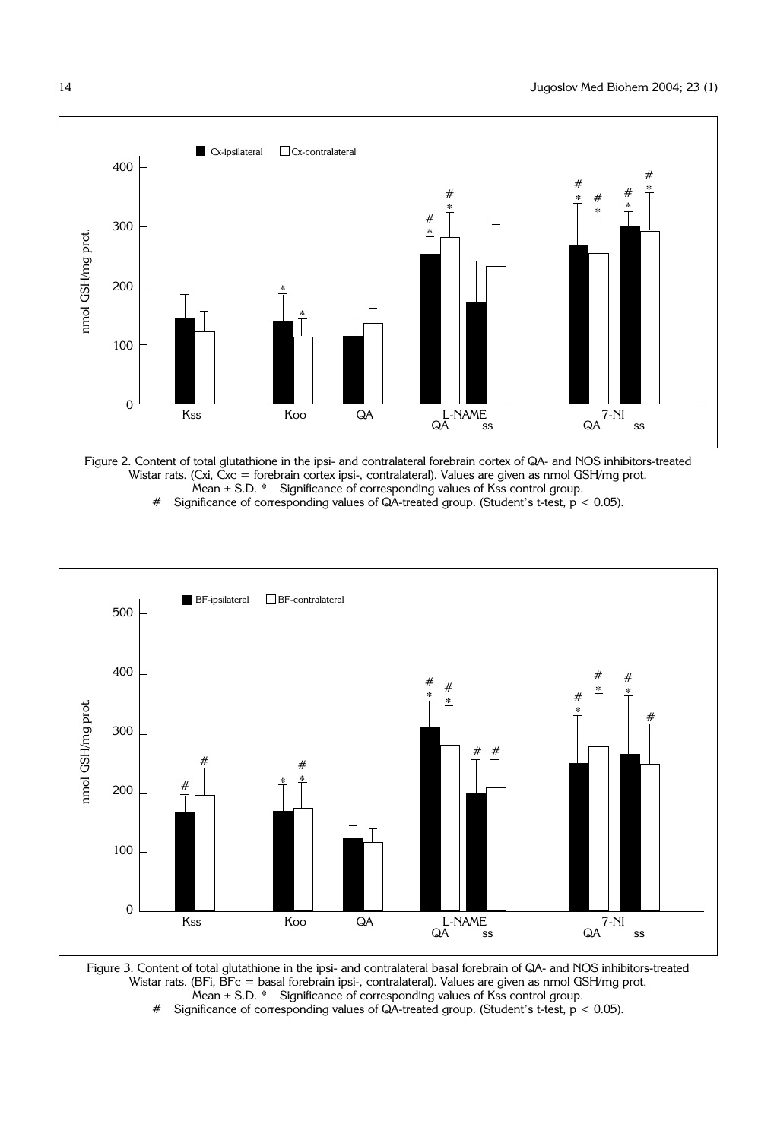

Figure 2. Content of total glutathione in the ipsi- and contralateral forebrain cortex of QA- and NOS inhibitors-treated Wistar rats. (Cxi, Cxc = forebrain cortex ipsi-, contralateral). Values are given as nmol GSH/mg prot. Mean  $\pm$  S.D. \* Significance of corresponding values of Kss control group.

# Significance of corresponding values of  $QA$ -treated group. (Student's t-test,  $p < 0.05$ ).



Figure 3. Content of total glutathione in the ipsi- and contralateral basal forebrain of QA- and NOS inhibitors-treated Wistar rats. (BFi, BFc = basal forebrain ipsi-, contralateral). Values are given as nmol GSH/mg prot. Mean  $\pm$  S.D.  $*$  Significance of corresponding values of Kss control group.

# Significance of corresponding values of  $QA$ -treated group. (Student's t-test,  $p < 0.05$ ).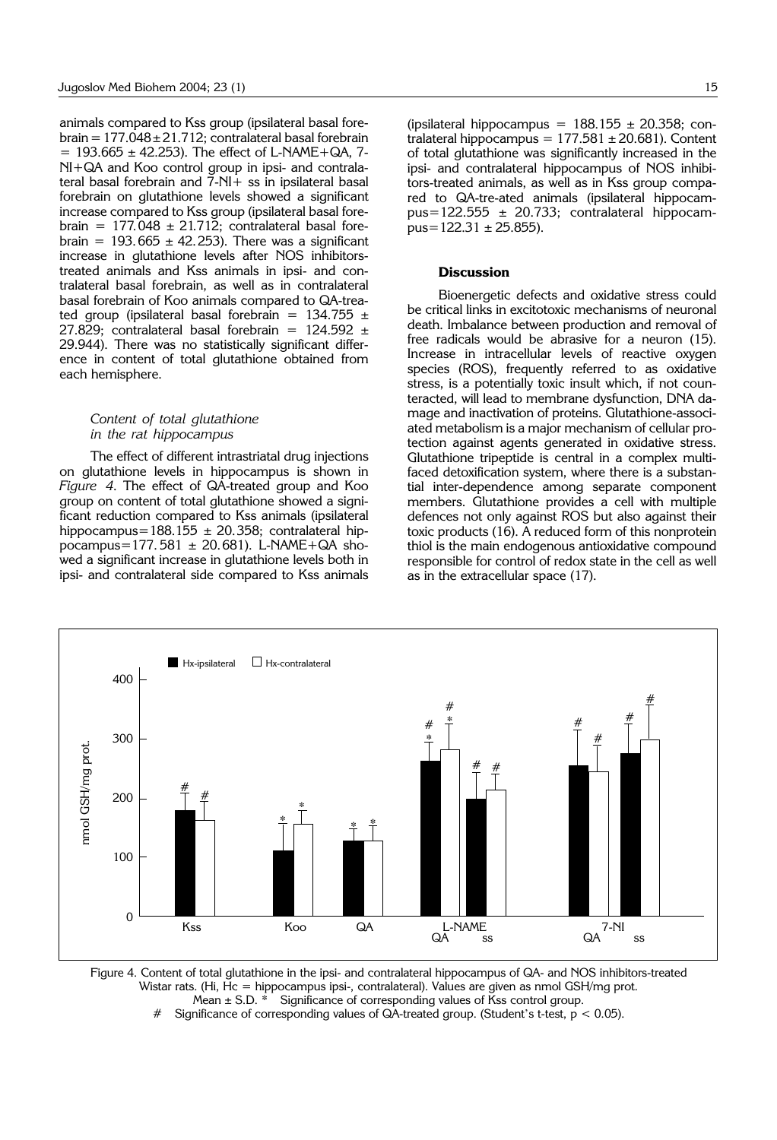animals compared to Kss group (ipsilateral basal forebrain =  $177.048 \pm 21.712$ ; contralateral basal forebrain  $= 193.665 \pm 42.253$ . The effect of L-NAME + QA, 7-NI+QA and Koo control group in ipsi- and contralateral basal forebrain and 7-NI+ ss in ipsilateral basal forebrain on glutathione levels showed a significant increase compared to Kss group (ipsilateral basal forebrain =  $177.048 \pm 21.712$ ; contralateral basal forebrain =  $193.665 \pm 42.253$ ). There was a significant increase in glutathione levels after NOS inhibitorstreated animals and Kss animals in ipsi- and contralateral basal forebrain, as well as in contralateral basal forebrain of Koo animals compared to QA-treated group (ipsilateral basal forebrain =  $134.755 \pm$ 27.829; contralateral basal forebrain =  $124.592 \pm$ 29.944). There was no statistically significant difference in content of total glutathione obtained from each hemisphere.

# *Content of total glutathione in the rat hippocampus*

The effect of different intrastriatal drug injections on glutathione levels in hippocampus is shown in *Figure 4*. The effect of QA-treated group and Koo group on content of total glutathione showed a significant reduction compared to Kss animals (ipsilateral hippocampus=188.155  $\pm$  20.358; contralateral hippocampus=177.581  $\pm$  20.681). L-NAME+QA showed a significant increase in glutathione levels both in ipsi- and contralateral side compared to Kss animals

(ipsilateral hippocampus =  $188.155 \pm 20.358$ ; contralateral hippocampus =  $177.581 \pm 20.681$ ). Content of total glutathione was significantly increased in the ipsi- and contralateral hippocampus of NOS inhibitors-treated animals, as well as in Kss group compared to QA-tre-ated animals (ipsilateral hippocampus=122.555 ± 20.733; contralateral hippocam $pus=122.31 \pm 25.855$ ).

# **Discussion**

Bioenergetic defects and oxidative stress could be critical links in excitotoxic mechanisms of neuronal death. Imbalance between production and removal of free radicals would be abrasive for a neuron (15). Increase in intracellular levels of reactive oxygen species (ROS), frequently referred to as oxidative stress, is a potentially toxic insult which, if not counteracted, will lead to membrane dysfunction, DNA damage and inactivation of proteins. Glutathione-associated metabolism is a major mechanism of cellular protection against agents generated in oxidative stress. Glutathione tripeptide is central in a complex multifaced detoxification system, where there is a substantial inter-dependence among separate component members. Glutathione provides a cell with multiple defences not only against ROS but also against their toxic products (16). A reduced form of this nonprotein thiol is the main endogenous antioxidative compound responsible for control of redox state in the cell as well as in the extracellular space (17).



Figure 4. Content of total glutathione in the ipsi- and contralateral hippocampus of QA- and NOS inhibitors-treated Wistar rats. (Hi, Hc = hippocampus ipsi-, contralateral). Values are given as nmol GSH/mg prot. Mean  $\pm$  S.D.  $*$  Significance of corresponding values of Kss control group.

# Significance of corresponding values of QA-treated group. (Student's t-test,  $p < 0.05$ ).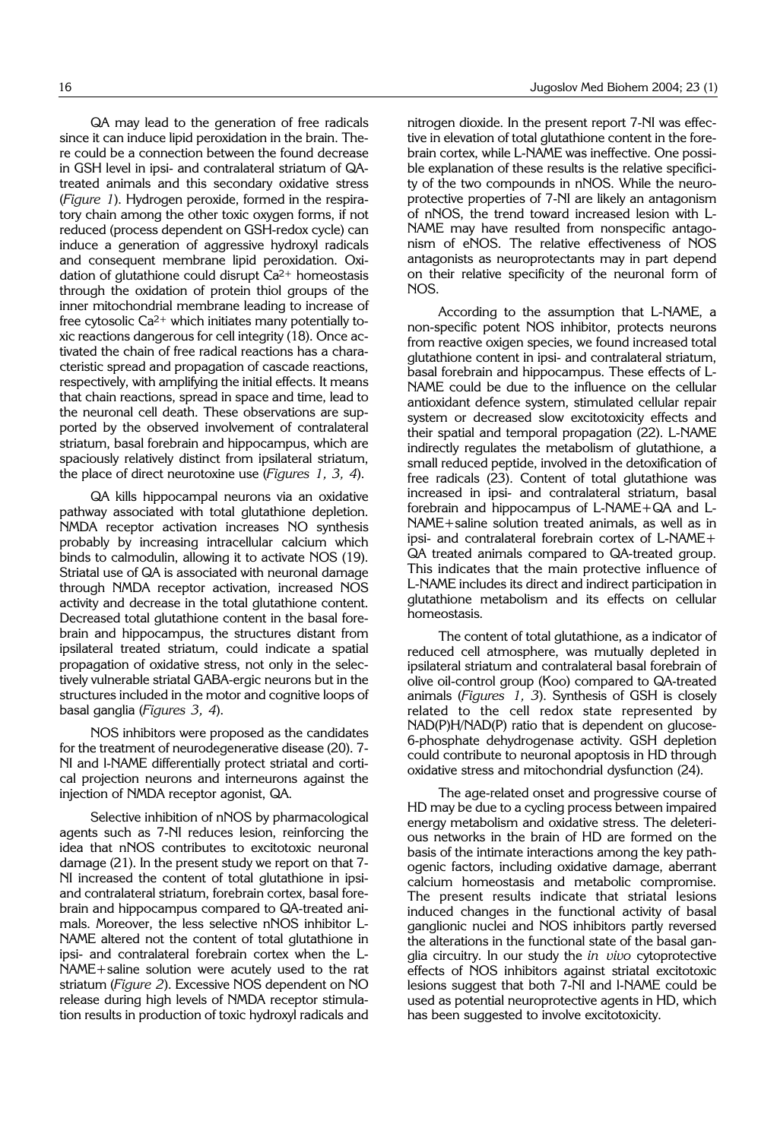QA may lead to the generation of free radicals since it can induce lipid peroxidation in the brain. There could be a connection between the found decrease in GSH level in ipsi- and contralateral striatum of QAtreated animals and this secondary oxidative stress (*Figure 1*). Hydrogen peroxide, formed in the respiratory chain among the other toxic oxygen forms, if not reduced (process dependent on GSH-redox cycle) can induce a generation of aggressive hydroxyl radicals and consequent membrane lipid peroxidation. Oxidation of glutathione could disrupt  $Ca^{2+}$  homeostasis through the oxidation of protein thiol groups of the inner mitochondrial membrane leading to increase of free cytosolic  $Ca^{2+}$  which initiates many potentially toxic reactions dangerous for cell integrity (18). Once activated the chain of free radical reactions has a characteristic spread and propagation of cascade reactions, respectively, with amplifying the initial effects. It means that chain reactions, spread in space and time, lead to the neuronal cell death. These observations are supported by the observed involvement of contralateral striatum, basal forebrain and hippocampus, which are spaciously relatively distinct from ipsilateral striatum, the place of direct neurotoxine use (*Figures 1, 3, 4*).

QA kills hippocampal neurons via an oxidative pathway associated with total glutathione depletion. NMDA receptor activation increases NO synthesis probably by increasing intracellular calcium which binds to calmodulin, allowing it to activate NOS (19). Striatal use of QA is associated with neuronal damage through NMDA receptor activation, increased NOS activity and decrease in the total glutathione content. Decreased total glutathione content in the basal forebrain and hippocampus, the structures distant from ipsilateral treated striatum, could indicate a spatial propagation of oxidative stress, not only in the selectively vulnerable striatal GABA-ergic neurons but in the structures included in the motor and cognitive loops of basal ganglia (*Figures 3, 4*).

NOS inhibitors were proposed as the candidates for the treatment of neurodegenerative disease (20). 7- NI and l-NAME differentially protect striatal and cortical projection neurons and interneurons against the injection of NMDA receptor agonist, QA.

Selective inhibition of nNOS by pharmacological agents such as 7-NI reduces lesion, reinforcing the idea that nNOS contributes to excitotoxic neuronal damage (21). In the present study we report on that 7- NI increased the content of total glutathione in ipsiand contralateral striatum, forebrain cortex, basal forebrain and hippocampus compared to QA-treated animals. Moreover, the less selective nNOS inhibitor L-NAME altered not the content of total glutathione in ipsi- and contralateral forebrain cortex when the L-NAME+saline solution were acutely used to the rat striatum (*Figure 2*). Excessive NOS dependent on NO release during high levels of NMDA receptor stimulation results in production of toxic hydroxyl radicals and

nitrogen dioxide. In the present report 7-NI was effective in elevation of total glutathione content in the forebrain cortex, while L-NAME was ineffective. One possible explanation of these results is the relative specificity of the two compounds in nNOS. While the neuroprotective properties of 7-NI are likely an antagonism of nNOS, the trend toward increased lesion with L-NAME may have resulted from nonspecific antagonism of eNOS. The relative effectiveness of NOS antagonists as neuroprotectants may in part depend on their relative specificity of the neuronal form of NOS.

According to the assumption that L-NAME, a non-specific potent NOS inhibitor, protects neurons from reactive oxigen species, we found increased total glutathione content in ipsi- and contralateral striatum, basal forebrain and hippocampus. These effects of L-NAME could be due to the influence on the cellular antioxidant defence system, stimulated cellular repair system or decreased slow excitotoxicity effects and their spatial and temporal propagation (22). L-NAME indirectly regulates the metabolism of glutathione, a small reduced peptide, involved in the detoxification of free radicals (23). Content of total glutathione was increased in ipsi- and contralateral striatum, basal forebrain and hippocampus of L-NAME+QA and L-NAME+saline solution treated animals, as well as in ipsi- and contralateral forebrain cortex of L-NAME+ QA treated animals compared to QA-treated group. This indicates that the main protective influence of L-NAME includes its direct and indirect participation in glutathione metabolism and its effects on cellular homeostasis.

The content of total glutathione, as a indicator of reduced cell atmosphere, was mutually depleted in ipsilateral striatum and contralateral basal forebrain of olive oil-control group (Koo) compared to QA-treated animals (*Figures 1, 3*). Synthesis of GSH is closely related to the cell redox state represented by NAD(P)H/NAD(P) ratio that is dependent on glucose-6-phosphate dehydrogenase activity. GSH depletion could contribute to neuronal apoptosis in HD through oxidative stress and mitochondrial dysfunction (24).

The age-related onset and progressive course of HD may be due to a cycling process between impaired energy metabolism and oxidative stress. The deleterious networks in the brain of HD are formed on the basis of the intimate interactions among the key pathogenic factors, including oxidative damage, aberrant calcium homeostasis and metabolic compromise. The present results indicate that striatal lesions induced changes in the functional activity of basal ganglionic nuclei and NOS inhibitors partly reversed the alterations in the functional state of the basal ganglia circuitry. In our study the *in vivo* cytoprotective effects of NOS inhibitors against striatal excitotoxic lesions suggest that both 7-NI and l-NAME could be used as potential neuroprotective agents in HD, which has been suggested to involve excitotoxicity.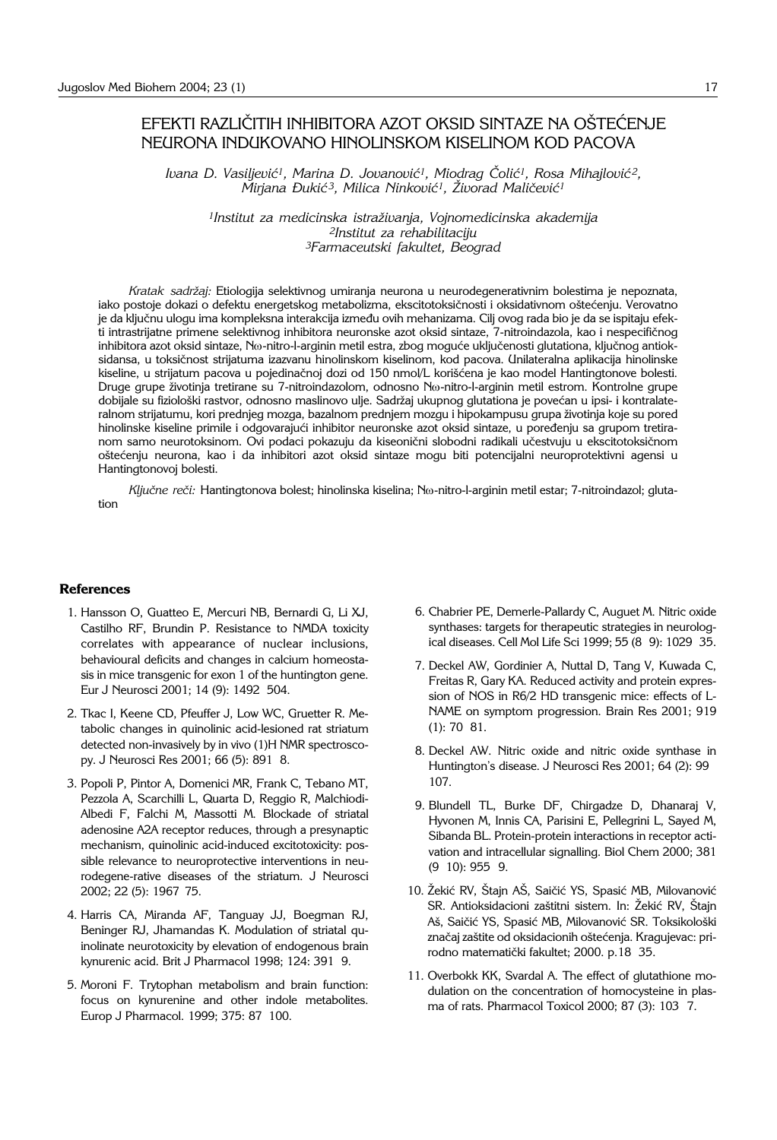# EFEKTI RAZLIČITIH INHIBITORA AZOT OKSID SINTAZE NA OŠTEĆENJE NEURONA INDUKOVANO HINOLINSKOM KISELINOM KOD PACOVA

Ivana D. Vasiljević<sup>1</sup>, Marina D. Jovanović<sup>1</sup>, Miodrag Čolić<sup>1</sup>, Rosa Mihajlović<sup>2</sup>,  $\text{Miriana}$  *Dukić<sup>3</sup>*, Milica Ninković<sup>1</sup>, Živorad Maličević<sup>1</sup>

*1Institut za medicinska istra`ivanja, Vojnomedicinska akademija 2Institut za rehabilitaciju 3Farmaceutski fakultet, Beograd*

*Kratak sadr`aj:* Etiologija selektivnog umiranja neurona u neurodegenerativnim bolestima je nepoznata, iako postoje dokazi o defektu energetskog metabolizma, ekscitotoksičnosti i oksidativnom oštećenju. Verovatno je da ključnu ulogu ima kompleksna interakcija između ovih mehanizama. Cilj ovog rada bio je da se ispitaju efekti intrastrijatne primene selektivnog inhibitora neuronske azot oksid sintaze, 7-nitroindazola, kao i nespecifičnog inhibitora azot oksid sintaze, Nw-nitro-l-arginin metil estra, zbog moguće uključenosti glutationa, ključnog antioksidansa, u toksičnost strijatuma izazvanu hinolinskom kiselinom, kod pacova. Unilateralna aplikacija hinolinske kiseline, u strijatum pacova u pojedinačnoj dozi od 150 nmol/L korišćena je kao model Hantingtonove bolesti. Druge grupe životinja tretirane su 7-nitroindazolom, odnosno N<sub>o-</sub>nitro-l-arginin metil estrom. Kontrolne grupe dobijale su fiziološki rastvor, odnosno maslinovo ulje. Sadržaj ukupnog glutationa je povećan u ipsi- i kontralateralnom strijatumu, kori prednjeg mozga, bazalnom prednjem mozgu i hipokampusu grupa životinja koje su pored hinolinske kiseline primile i odgovarajući inhibitor neuronske azot oksid sintaze, u poređenju sa grupom tretiranom samo neurotoksinom. Ovi podaci pokazuju da kiseonični slobodni radikali učestvuju u ekscitotoksičnom oštećenju neurona, kao i da inhibitori azot oksid sintaze mogu biti potencijalni neuroprotektivni agensi u Hantingtonovoj bolesti.

*Klju~ne re~i:* Hantingtonova bolest; hinolinska kiselina; Nw-nitro-l-arginin metil estar; 7-nitroindazol; glutation

# **References**

- 1. Hansson O, Guatteo E, Mercuri NB, Bernardi G, Li XJ, Castilho RF, Brundin P. Resistance to NMDA toxicity correlates with appearance of nuclear inclusions, behavioural deficits and changes in calcium homeostasis in mice transgenic for exon 1 of the huntington gene. Eur J Neurosci 2001; 14 (9): 1492 504.
- 2. Tkac I, Keene CD, Pfeuffer J, Low WC, Gruetter R. Metabolic changes in quinolinic acid-lesioned rat striatum detected non-invasively by in vivo (1)H NMR spectroscopy. J Neurosci Res 2001; 66 (5): 891 8.
- 3. Popoli P, Pintor A, Domenici MR, Frank C, Tebano MT, Pezzola A, Scarchilli L, Quarta D, Reggio R, Malchiodi-Albedi F, Falchi M, Massotti M. Blockade of striatal adenosine A2A receptor reduces, through a presynaptic mechanism, quinolinic acid-induced excitotoxicity: possible relevance to neuroprotective interventions in neurodegene-rative diseases of the striatum. J Neurosci 2002; 22 (5): 1967'75.
- 4. Harris CA, Miranda AF, Tanguay JJ, Boegman RJ, Beninger RJ, Jhamandas K. Modulation of striatal quinolinate neurotoxicity by elevation of endogenous brain kynurenic acid. Brit J Pharmacol 1998; 124: 391 9.
- 5. Moroni F. Trytophan metabolism and brain function: focus on kynurenine and other indole metabolites. Europ J Pharmacol. 1999; 375: 87 100.
- 6. Chabrier PE, Demerle-Pallardy C, Auguet M. Nitric oxide synthases: targets for therapeutic strategies in neurological diseases. Cell Mol Life Sci 1999; 55 (8 9): 1029 35.
- 7. Deckel AW, Gordinier A, Nuttal D, Tang V, Kuwada C, Freitas R, Gary KA. Reduced activity and protein expression of NOS in R6/2 HD transgenic mice: effects of L-NAME on symptom progression. Brain Res 2001; 919 (1): 70 81.
- 8. Deckel AW. Nitric oxide and nitric oxide synthase in Huntington's disease. J Neurosci Res 2001; 64 (2): 99' 107.
- 9. Blundell TL, Burke DF, Chirgadze D, Dhanaraj V, Hyvonen M, Innis CA, Parisini E, Pellegrini L, Sayed M, Sibanda BL. Protein-protein interactions in receptor activation and intracellular signalling. Biol Chem 2000; 381 (9 10): 955 9.
- 10. Žekić RV, Štajn AŠ, Saičić YS, Spasić MB, Milovanović SR. Antioksidacioni zaštitni sistem. In: Žekić RV, Štajn Aš, Saičić YS, Spasić MB, Milovanović SR. Toksikološki značaj zaštite od oksidacionih oštećenja. Kragujevac: prirodno matematički fakultet; 2000. p.18 35.
- 11. Overbokk KK, Svardal A. The effect of glutathione modulation on the concentration of homocysteine in plasma of rats. Pharmacol Toxicol 2000; 87 (3): 103 7.